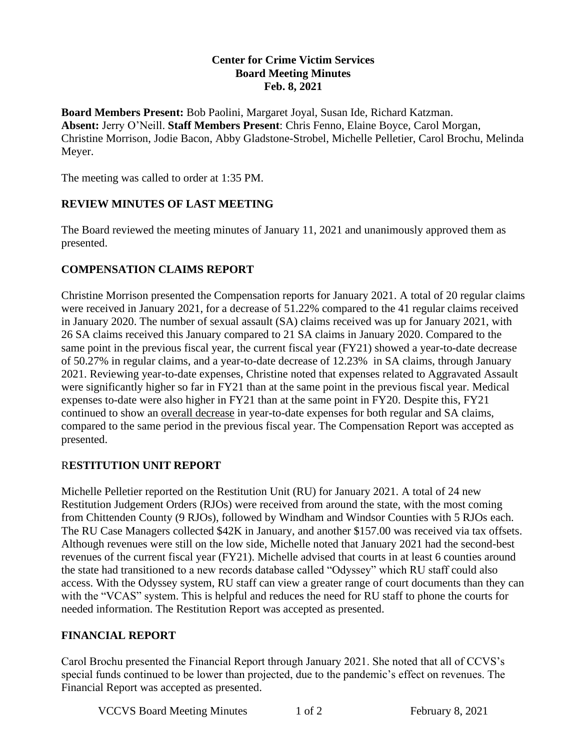#### **Center for Crime Victim Services Board Meeting Minutes Feb. 8, 2021**

**Board Members Present:** Bob Paolini, Margaret Joyal, Susan Ide, Richard Katzman. **Absent:** Jerry O'Neill. **Staff Members Present**: Chris Fenno, Elaine Boyce, Carol Morgan, Christine Morrison, Jodie Bacon, Abby Gladstone-Strobel, Michelle Pelletier, Carol Brochu, Melinda Meyer.

The meeting was called to order at 1:35 PM.

### **REVIEW MINUTES OF LAST MEETING**

The Board reviewed the meeting minutes of January 11, 2021 and unanimously approved them as presented.

### **COMPENSATION CLAIMS REPORT**

Christine Morrison presented the Compensation reports for January 2021. A total of 20 regular claims were received in January 2021, for a decrease of 51.22% compared to the 41 regular claims received in January 2020. The number of sexual assault (SA) claims received was up for January 2021, with 26 SA claims received this January compared to 21 SA claims in January 2020. Compared to the same point in the previous fiscal year, the current fiscal year (FY21) showed a year-to-date decrease of 50.27% in regular claims, and a year-to-date decrease of 12.23% in SA claims, through January 2021. Reviewing year-to-date expenses, Christine noted that expenses related to Aggravated Assault were significantly higher so far in FY21 than at the same point in the previous fiscal year. Medical expenses to-date were also higher in FY21 than at the same point in FY20. Despite this, FY21 continued to show an overall decrease in year-to-date expenses for both regular and SA claims, compared to the same period in the previous fiscal year. The Compensation Report was accepted as presented.

# R**ESTITUTION UNIT REPORT**

Michelle Pelletier reported on the Restitution Unit (RU) for January 2021. A total of 24 new Restitution Judgement Orders (RJOs) were received from around the state, with the most coming from Chittenden County (9 RJOs), followed by Windham and Windsor Counties with 5 RJOs each. The RU Case Managers collected \$42K in January, and another \$157.00 was received via tax offsets. Although revenues were still on the low side, Michelle noted that January 2021 had the second-best revenues of the current fiscal year (FY21). Michelle advised that courts in at least 6 counties around the state had transitioned to a new records database called "Odyssey" which RU staff could also access. With the Odyssey system, RU staff can view a greater range of court documents than they can with the "VCAS" system. This is helpful and reduces the need for RU staff to phone the courts for needed information. The Restitution Report was accepted as presented.

# **FINANCIAL REPORT**

Carol Brochu presented the Financial Report through January 2021. She noted that all of CCVS's special funds continued to be lower than projected, due to the pandemic's effect on revenues. The Financial Report was accepted as presented.

VCCVS Board Meeting Minutes 1 of 2 February 8, 2021